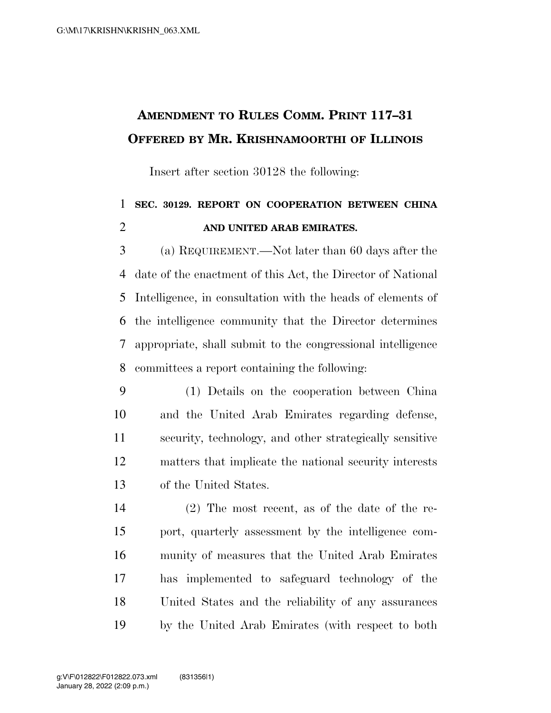## **AMENDMENT TO RULES COMM. PRINT 117–31 OFFERED BY MR. KRISHNAMOORTHI OF ILLINOIS**

Insert after section 30128 the following:

## **SEC. 30129. REPORT ON COOPERATION BETWEEN CHINA AND UNITED ARAB EMIRATES.**

 (a) REQUIREMENT.—Not later than 60 days after the date of the enactment of this Act, the Director of National Intelligence, in consultation with the heads of elements of the intelligence community that the Director determines appropriate, shall submit to the congressional intelligence committees a report containing the following:

- (1) Details on the cooperation between China and the United Arab Emirates regarding defense, security, technology, and other strategically sensitive matters that implicate the national security interests of the United States.
- (2) The most recent, as of the date of the re- port, quarterly assessment by the intelligence com- munity of measures that the United Arab Emirates has implemented to safeguard technology of the United States and the reliability of any assurances by the United Arab Emirates (with respect to both